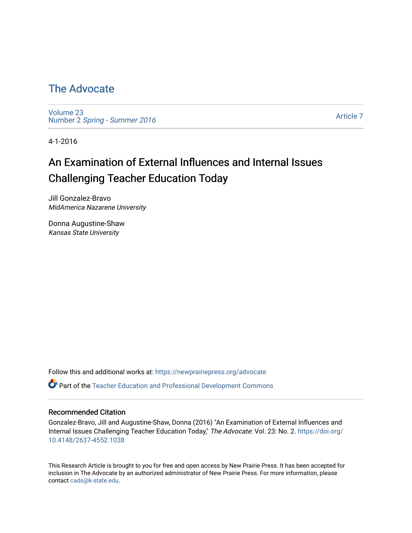# [The Advocate](https://newprairiepress.org/advocate)

[Volume 23](https://newprairiepress.org/advocate/vol23) Number 2 [Spring - Summer 2016](https://newprairiepress.org/advocate/vol23/iss2) 

[Article 7](https://newprairiepress.org/advocate/vol23/iss2/7) 

4-1-2016

# An Examination of External Influences and Internal Issues Challenging Teacher Education Today

Jill Gonzalez-Bravo MidAmerica Nazarene University

Donna Augustine-Shaw Kansas State University

Follow this and additional works at: [https://newprairiepress.org/advocate](https://newprairiepress.org/advocate?utm_source=newprairiepress.org%2Fadvocate%2Fvol23%2Fiss2%2F7&utm_medium=PDF&utm_campaign=PDFCoverPages) 

Part of the [Teacher Education and Professional Development Commons](http://network.bepress.com/hgg/discipline/803?utm_source=newprairiepress.org%2Fadvocate%2Fvol23%2Fiss2%2F7&utm_medium=PDF&utm_campaign=PDFCoverPages) 

#### Recommended Citation

Gonzalez-Bravo, Jill and Augustine-Shaw, Donna (2016) "An Examination of External Influences and Internal Issues Challenging Teacher Education Today," The Advocate: Vol. 23: No. 2. [https://doi.org/](https://doi.org/10.4148/2637-4552.1038) [10.4148/2637-4552.1038](https://doi.org/10.4148/2637-4552.1038)

This Research Article is brought to you for free and open access by New Prairie Press. It has been accepted for inclusion in The Advocate by an authorized administrator of New Prairie Press. For more information, please contact [cads@k-state.edu](mailto:cads@k-state.edu).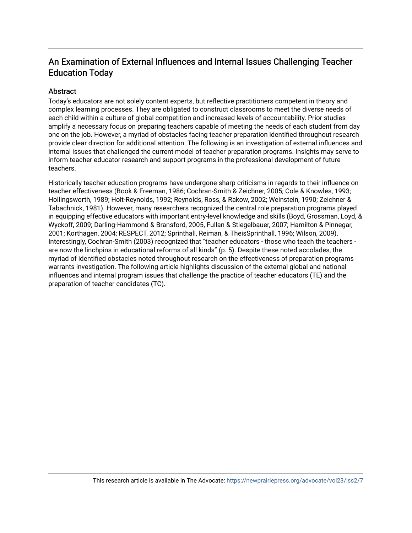# An Examination of External Influences and Internal Issues Challenging Teacher Education Today

#### **Abstract**

Today's educators are not solely content experts, but reflective practitioners competent in theory and complex learning processes. They are obligated to construct classrooms to meet the diverse needs of each child within a culture of global competition and increased levels of accountability. Prior studies amplify a necessary focus on preparing teachers capable of meeting the needs of each student from day one on the job. However, a myriad of obstacles facing teacher preparation identified throughout research provide clear direction for additional attention. The following is an investigation of external influences and internal issues that challenged the current model of teacher preparation programs. Insights may serve to inform teacher educator research and support programs in the professional development of future teachers.

Historically teacher education programs have undergone sharp criticisms in regards to their influence on teacher effectiveness (Book & Freeman, 1986; Cochran-Smith & Zeichner, 2005; Cole & Knowles, 1993; Hollingsworth, 1989; Holt-Reynolds, 1992; Reynolds, Ross, & Rakow, 2002; Weinstein, 1990; Zeichner & Tabachnick, 1981). However, many researchers recognized the central role preparation programs played in equipping effective educators with important entry-level knowledge and skills (Boyd, Grossman, Loyd, & Wyckoff, 2009; Darling-Hammond & Bransford, 2005, Fullan & Stiegelbauer, 2007; Hamilton & Pinnegar, 2001; Korthagen, 2004; RESPECT, 2012; Sprinthall, Reiman, & TheisSprinthall, 1996; Wilson, 2009). Interestingly, Cochran-Smith (2003) recognized that "teacher educators - those who teach the teachers are now the linchpins in educational reforms of all kinds" (p. 5). Despite these noted accolades, the myriad of identified obstacles noted throughout research on the effectiveness of preparation programs warrants investigation. The following article highlights discussion of the external global and national influences and internal program issues that challenge the practice of teacher educators (TE) and the preparation of teacher candidates (TC).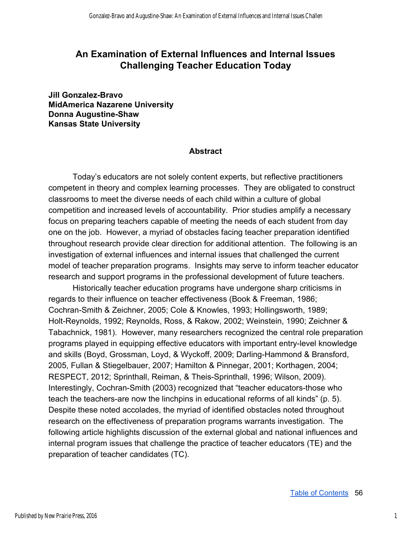# **An Examination of External Influences and Internal Issues Challenging Teacher Education Today**

**Jill Gonzalez-Bravo MidAmerica Nazarene University Donna Augustine-Shaw Kansas State University** 

#### **Abstract**

Today's educators are not solely content experts, but reflective practitioners competent in theory and complex learning processes. They are obligated to construct classrooms to meet the diverse needs of each child within a culture of global competition and increased levels of accountability. Prior studies amplify a necessary focus on preparing teachers capable of meeting the needs of each student from day one on the job. However, a myriad of obstacles facing teacher preparation identified throughout research provide clear direction for additional attention. The following is an investigation of external influences and internal issues that challenged the current model of teacher preparation programs. Insights may serve to inform teacher educator research and support programs in the professional development of future teachers.

Historically teacher education programs have undergone sharp criticisms in regards to their influence on teacher effectiveness (Book & Freeman, 1986; CochranSmith & Zeichner, 2005; Cole & Knowles, 1993; Hollingsworth, 1989; Holt-Reynolds, 1992; Reynolds, Ross, & Rakow, 2002; Weinstein, 1990; Zeichner & Tabachnick, 1981). However, many researchers recognized the central role preparation programs played in equipping effective educators with important entry-level knowledge and skills (Boyd, Grossman, Loyd, & Wyckoff, 2009; Darling-Hammond & Bransford, 2005, Fullan & Stiegelbauer, 2007; Hamilton & Pinnegar, 2001; Korthagen, 2004; RESPECT, 2012; Sprinthall, Reiman, & Theis-Sprinthall, 1996; Wilson, 2009). Interestingly, Cochran-Smith (2003) recognized that "teacher educators-those who teach the teachers-are now the linchpins in educational reforms of all kinds"  $(p. 5)$ . Despite these noted accolades, the myriad of identified obstacles noted throughout research on the effectiveness of preparation programs warrants investigation. The following article highlights discussion of the external global and national influences and internal program issues that challenge the practice of teacher educators (TE) and the preparation of teacher candidates (TC).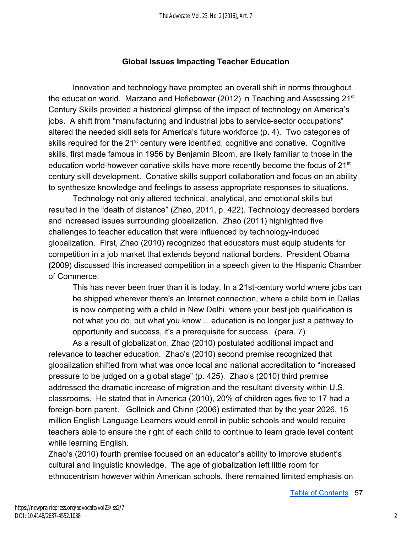# **Global Issues Impacting Teacher Education**

Innovation and technology have prompted an overall shift in norms throughout the education world. Marzano and Heflebower (2012) in Teaching and Assessing 21 $\mathrm{^{st}}$ Century Skills provided a historical glimpse of the impact of technology on America's jobs. A shift from "manufacturing and industrial jobs to service-sector occupations" altered the needed skill sets for America's future workforce (p. 4). Two categories of skills required for the 21<sup>st</sup> century were identified, cognitive and conative. Cognitive skills, first made famous in 1956 by Benjamin Bloom, are likely familiar to those in the education world-however conative skills have more recently become the focus of 21<sup>st</sup> century skill development. Conative skills support collaboration and focus on an ability to synthesize knowledge and feelings to assess appropriate responses to situations.

Technology not only altered technical, analytical, and emotional skills but resulted in the "death of distance" (Zhao, 2011, p. 422). Technology decreased borders and increased issues surrounding globalization. Zhao (2011) highlighted five challenges to teacher education that were influenced by technology-induced globalization. First, Zhao (2010) recognized that educators must equip students for competition in a job market that extends beyond national borders. President Obama (2009) discussed this increased competition in a speech given to the Hispanic Chamber of Commerce.

This has never been truer than it is today. In a 21st-century world where jobs can be shipped wherever there's an Internet connection, where a child born in Dallas is now competing with a child in New Delhi, where your best job qualification is not what you do, but what you know …education is no longer just a pathway to opportunity and success, it's a prerequisite for success. (para. 7)

As a result of globalization, Zhao (2010) postulated additional impact and relevance to teacher education. Zhao's (2010) second premise recognized that globalization shifted from what was once local and national accreditation to "increased pressure to be judged on a global stage" (p. 425). Zhao's (2010) third premise addressed the dramatic increase of migration and the resultant diversity within U.S. classrooms. He stated that in America (2010), 20% of children ages five to 17 had a foreign-born parent. Gollnick and Chinn (2006) estimated that by the year 2026, 15 million English Language Learners would enroll in public schools and would require teachers able to ensure the right of each child to continue to learn grade level content while learning English.

Zhao's (2010) fourth premise focused on an educator's ability to improve student's cultural and linguistic knowledge. The age of globalization left little room for ethnocentrism however within American schools, there remained limited emphasis on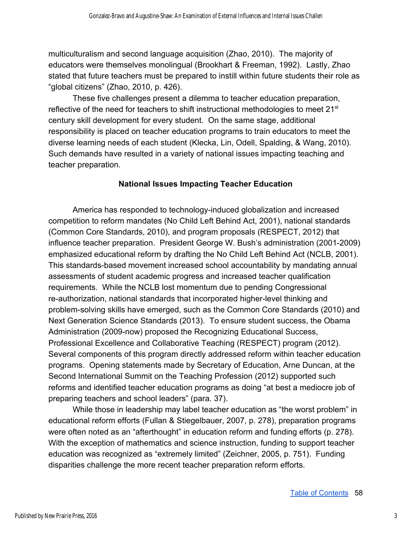multiculturalism and second language acquisition (Zhao, 2010). The majority of educators were themselves monolingual (Brookhart & Freeman, 1992). Lastly, Zhao stated that future teachers must be prepared to instill within future students their role as "global citizens" (Zhao, 2010, p. 426).

These five challenges present a dilemma to teacher education preparation, reflective of the need for teachers to shift instructional methodologies to meet 21<sup>st</sup> century skill development for every student. On the same stage, additional responsibility is placed on teacher education programs to train educators to meet the diverse learning needs of each student (Klecka, Lin, Odell, Spalding, & Wang, 2010). Such demands have resulted in a variety of national issues impacting teaching and teacher preparation.

### **National Issues Impacting Teacher Education**

America has responded to technology-induced globalization and increased competition to reform mandates (No Child Left Behind Act, 2001), national standards (Common Core Standards, 2010), and program proposals (RESPECT, 2012) that influence teacher preparation. President George W. Bush's administration (2001-2009) emphasized educational reform by drafting the No Child Left Behind Act (NCLB, 2001). This standards-based movement increased school accountability by mandating annual assessments of student academic progress and increased teacher qualification requirements. While the NCLB lost momentum due to pending Congressional re-authorization, national standards that incorporated higher-level thinking and problemsolving skills have emerged, such as the Common Core Standards (2010) and Next Generation Science Standards (2013). To ensure student success, the Obama Administration (2009-now) proposed the Recognizing Educational Success, Professional Excellence and Collaborative Teaching (RESPECT) program (2012). Several components of this program directly addressed reform within teacher education programs. Opening statements made by Secretary of Education, Arne Duncan, at the Second International Summit on the Teaching Profession (2012) supported such reforms and identified teacher education programs as doing "at best a mediocre job of preparing teachers and school leaders" (para. 37).

While those in leadership may label teacher education as "the worst problem" in educational reform efforts (Fullan & Stiegelbauer, 2007, p. 278), preparation programs were often noted as an "afterthought" in education reform and funding efforts (p. 278). With the exception of mathematics and science instruction, funding to support teacher education was recognized as "extremely limited" (Zeichner, 2005, p. 751). Funding disparities challenge the more recent teacher preparation reform efforts.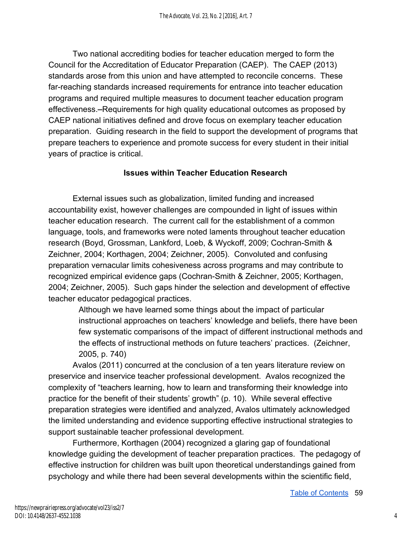Two national accrediting bodies for teacher education merged to form the Council for the Accreditation of Educator Preparation (CAEP). The CAEP (2013) standards arose from this union and have attempted to reconcile concerns. These far-reaching standards increased requirements for entrance into teacher education programs and required multiple measures to document teacher education program effectiveness. - Requirements for high quality educational outcomes as proposed by CAEP national initiatives defined and drove focus on exemplary teacher education preparation. Guiding research in the field to support the development of programs that prepare teachers to experience and promote success for every student in their initial years of practice is critical.

# **Issues within Teacher Education Research**

External issues such as globalization, limited funding and increased accountability exist, however challenges are compounded in light of issues within teacher education research. The current call for the establishment of a common language, tools, and frameworks were noted laments throughout teacher education research (Boyd, Grossman, Lankford, Loeb, & Wyckoff, 2009; Cochran-Smith & Zeichner, 2004; Korthagen, 2004; Zeichner, 2005). Convoluted and confusing preparation vernacular limits cohesiveness across programs and may contribute to recognized empirical evidence gaps (Cochran-Smith & Zeichner, 2005; Korthagen, 2004; Zeichner, 2005). Such gaps hinder the selection and development of effective teacher educator pedagogical practices.

Although we have learned some things about the impact of particular instructional approaches on teachers' knowledge and beliefs, there have been few systematic comparisons of the impact of different instructional methods and the effects of instructional methods on future teachers' practices. (Zeichner, 2005, p. 740)

Avalos (2011) concurred at the conclusion of a ten years literature review on preservice and inservice teacher professional development. Avalos recognized the complexity of "teachers learning, how to learn and transforming their knowledge into practice for the benefit of their students' growth" (p. 10). While several effective preparation strategies were identified and analyzed, Avalos ultimately acknowledged the limited understanding and evidence supporting effective instructional strategies to support sustainable teacher professional development.

Furthermore, Korthagen (2004) recognized a glaring gap of foundational knowledge guiding the development of teacher preparation practices. The pedagogy of effective instruction for children was built upon theoretical understandings gained from psychology and while there had been several developments within the scientific field,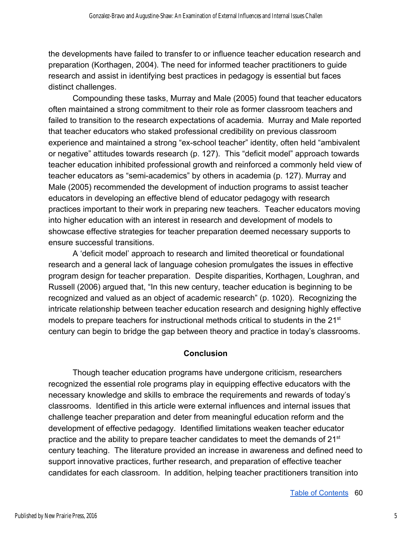the developments have failed to transfer to or influence teacher education research and preparation (Korthagen, 2004). The need for informed teacher practitioners to guide research and assist in identifying best practices in pedagogy is essential but faces distinct challenges.

Compounding these tasks, Murray and Male (2005) found that teacher educators often maintained a strong commitment to their role as former classroom teachers and failed to transition to the research expectations of academia. Murray and Male reported that teacher educators who staked professional credibility on previous classroom experience and maintained a strong "ex-school teacher" identity, often held "ambivalent or negative" attitudes towards research (p. 127). This "deficit model" approach towards teacher education inhibited professional growth and reinforced a commonly held view of teacher educators as "semi-academics" by others in academia (p. 127). Murray and Male (2005) recommended the development of induction programs to assist teacher educators in developing an effective blend of educator pedagogy with research practices important to their work in preparing new teachers. Teacher educators moving into higher education with an interest in research and development of models to showcase effective strategies for teacher preparation deemed necessary supports to ensure successful transitions.

A 'deficit model' approach to research and limited theoretical or foundational research and a general lack of language cohesion promulgates the issues in effective program design for teacher preparation. Despite disparities, Korthagen, Loughran, and Russell (2006) argued that, "In this new century, teacher education is beginning to be recognized and valued as an object of academic research" (p. 1020). Recognizing the intricate relationship between teacher education research and designing highly effective models to prepare teachers for instructional methods critical to students in the  $21<sup>st</sup>$ century can begin to bridge the gap between theory and practice in today's classrooms.

# **Conclusion**

Though teacher education programs have undergone criticism, researchers recognized the essential role programs play in equipping effective educators with the necessary knowledge and skills to embrace the requirements and rewards of today's classrooms. Identified in this article were external influences and internal issues that challenge teacher preparation and deter from meaningful education reform and the development of effective pedagogy. Identified limitations weaken teacher educator practice and the ability to prepare teacher candidates to meet the demands of 21<sup>st</sup> century teaching. The literature provided an increase in awareness and defined need to support innovative practices, further research, and preparation of effective teacher candidates for each classroom. In addition, helping teacher practitioners transition into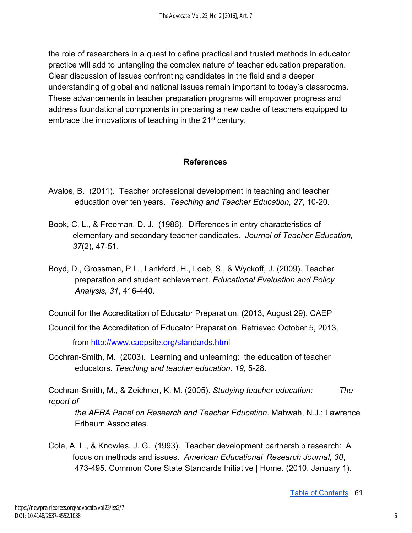the role of researchers in a quest to define practical and trusted methods in educator practice will add to untangling the complex nature of teacher education preparation. Clear discussion of issues confronting candidates in the field and a deeper understanding of global and national issues remain important to today's classrooms. These advancements in teacher preparation programs will empower progress and address foundational components in preparing a new cadre of teachers equipped to embrace the innovations of teaching in the 21<sup>st</sup> century.

## **References**

- Avalos, B. (2011). Teacher professional development in teaching and teacher education over ten years. Teaching and Teacher Education, 27, 10-20.
- Book, C. L., & Freeman, D. J. (1986). Differences in entry characteristics of elementary and secondary teacher candidates. *Journal of Teacher Education,*  37(2), 47-51.
- Boyd, D., Grossman, P.L., Lankford, H., Loeb, S., & Wyckoff, J. (2009). Teacher preparation and student achievement. *Educational Evaluation and Policy Analysis, 31, 416-440.*

Council for the Accreditation of Educator Preparation. (2013, August 29). CAEP

Council for the Accreditation of Educator Preparation. Retrieved October 5, 2013,

from<http://www.caepsite.org/standards.html>

Cochran-Smith, M. (2003). Learning and unlearning: the education of teacher educators. *Teaching and teacher education, 19*, 528.

Cochran-Smith, M., & Zeichner, K. M. (2005). *Studying teacher education:* The *report of* 

 *the AERA Panel on Research and Teacher Education*. Mahwah, N.J.: Lawrence Erlbaum Associates.

Cole, A. L., & Knowles, J. G. (1993). Teacher development partnership research: A focus on methods and issues. *American Educational Research Journal, 30*, 473495. Common Core State Standards Initiative | Home. (2010, January 1).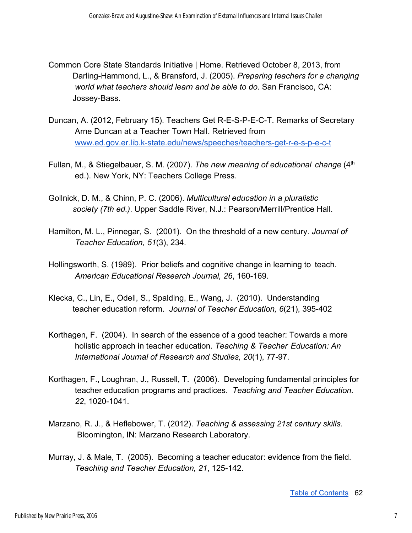- Common Core State Standards Initiative | Home. Retrieved October 8, 2013, from DarlingHammond, L., & Bransford, J. (2005). *Preparing teachers for a changing world what teachers should learn and be able to do*. San Francisco, CA: Jossey-Bass.
- Duncan, A. (2012, February 15). Teachers Get R-E-S-P-E-C-T. Remarks of Secretary Arne Duncan at a Teacher Town Hall. Retrieved from www.ed.gov.er.lib.k-state.edu/news/speeches/teachers-get-r-e-s-p-e-c-t
- Fullan, M., & Stiegelbauer, S. M. (2007). *The new meaning of educational change* (4<sup>th</sup>) ed.). New York, NY: Teachers College Press.
- Gollnick, D. M., & Chinn, P. C. (2006). *Multicultural education in a pluralistic society (7th ed.)*. Upper Saddle River, N.J.: Pearson/Merrill/Prentice Hall.
- Hamilton, M. L., Pinnegar, S. (2001). On the threshold of a new century. *Journal of Teacher Education, 51*(3), 234.
- Hollingsworth, S. (1989). Prior beliefs and cognitive change in learning to teach. American Educational Research Journal, 26, 160-169.
- Klecka, C., Lin, E., Odell, S., Spalding, E., Wang, J. (2010). Understanding teacher education reform. Journal of Teacher Education, 6(21), 395-402
- Korthagen, F. (2004). In search of the essence of a good teacher: Towards a more holistic approach in teacher education. *Teaching & Teacher Education: An*  International Journal of Research and Studies, 20(1), 77-97.
- Korthagen, F., Loughran, J., Russell, T. (2006). Developing fundamental principles for teacher education programs and practices. *Teaching and Teacher Education.*  22, 1020-1041.
- Marzano, R. J., & Heflebower, T. (2012). *Teaching & assessing 21st century skills*. Bloomington, IN: Marzano Research Laboratory.
- Murray, J. & Male, T. (2005). Becoming a teacher educator: evidence from the field. *Teaching and Teacher Education, 21*, 125142.